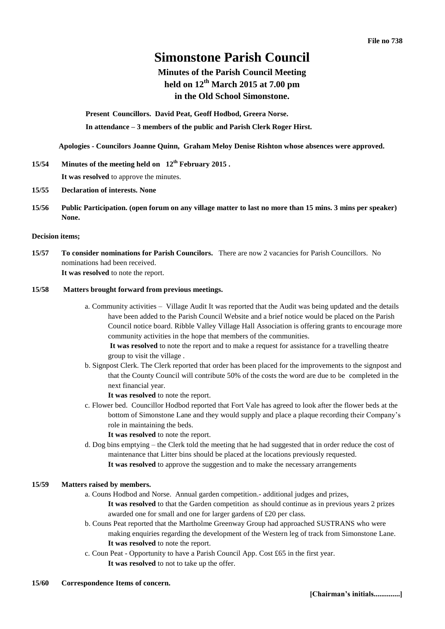# **Simonstone Parish Council**

# **Minutes of the Parish Council Meeting held on 12th March 2015 at 7.00 pm in the Old School Simonstone.**

**Present Councillors. David Peat, Geoff Hodbod, Greera Norse. In attendance – 3 members of the public and Parish Clerk Roger Hirst.** 

**Apologies - Councilors Joanne Quinn, Graham Meloy Denise Rishton whose absences were approved.** 

# **15/54 Minutes of the meeting held on 12th February 2015 . It was resolved** to approve the minutes.

- **15/55 Declaration of interests. None**
- **15/56 Public Participation. (open forum on any village matter to last no more than 15 mins. 3 mins per speaker) None.**

#### **Decision items;**

**15/57 To consider nominations for Parish Councilors.** There are now 2 vacancies for Parish Councillors. No nominations had been received. **It was resolved** to note the report.

# **15/58 Matters brought forward from previous meetings.**

a. Community activities – Village Audit It was reported that the Audit was being updated and the details have been added to the Parish Council Website and a brief notice would be placed on the Parish Council notice board. Ribble Valley Village Hall Association is offering grants to encourage more community activities in the hope that members of the communities.

**It was resolved** to note the report and to make a request for assistance for a travelling theatre group to visit the village .

- b. Signpost Clerk. The Clerk reported that order has been placed for the improvements to the signpost and that the County Council will contribute 50% of the costs the word are due to be completed in the next financial year.
	- **It was resolved** to note the report.
- c. Flower bed. Councillor Hodbod reported that Fort Vale has agreed to look after the flower beds at the bottom of Simonstone Lane and they would supply and place a plaque recording their Company's role in maintaining the beds.
	- **It was resolved** to note the report.
- d. Dog bins emptying the Clerk told the meeting that he had suggested that in order reduce the cost of maintenance that Litter bins should be placed at the locations previously requested. **It was resolved** to approve the suggestion and to make the necessary arrangements

### **15/59 Matters raised by members.**

- a. Couns Hodbod and Norse. Annual garden competition.- additional judges and prizes,
	- **It was resolved** to that the Garden competition as should continue as in previous years 2 prizes awarded one for small and one for larger gardens of £20 per class.
- b. Couns Peat reported that the Martholme Greenway Group had approached SUSTRANS who were making enquiries regarding the development of the Western leg of track from Simonstone Lane. **It was resolved** to note the report.
- c. Coun Peat Opportunity to have a Parish Council App. Cost £65 in the first year.
	- **It was resolved** to not to take up the offer.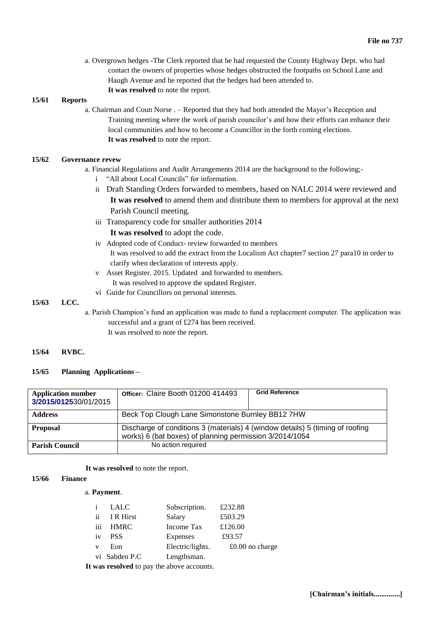a. Overgrown hedges -The Clerk reported that he had requested the County Highway Dept. who had contact the owners of properties whose hedges obstructed the footpaths on School Lane and Haugh Avenue and he reported that the hedges had been attended to. **It was resolved** to note the report.

#### **15/61 Reports**

a. Chairman and Coun Norse . – Reported that they had both attended the Mayor's Reception and Training meeting where the work of parish councilor's and how their efforts can enhance their local communities and how to become a Councillor in the forth coming elections. **It was resolved** to note the report.

### **15/62 Governance revew**

a. Financial Regulations and Audit Arrangements 2014 are the background to the following;-

- i "All about Local Councils" for information.
- ii Draft Standing Orders forwarded to members, based on NALC 2014 were reviewed and **It was resolved** to amend them and distribute them to members for approval at the next Parish Council meeting.
- iii Transparency code for smaller authorities 2014

### **It was resolved** to adopt the code.

- iv Adopted code of Conduct- review forwarded to members It was resolved to add the extract from the Localism Act chapter7 section 27 para10 in order to clarify when declaration of interests apply.
- v Asset Register. 2015. Updated and forwarded to members. It was resolved to approve the updated Register.
- vi Guide for Councillors on personal interests.

#### **15/63 LCC.**

a. Parish Champion's fund an application was made to fund a replacement computer. The application was successful and a grant of £274 has been received. It was resolved to note the report.

#### **15/64 RVBC.**

# **15/65 Planning Applications –**

| <b>Application number</b><br>3/2015/012530/01/2015 | Officer: Claire Booth 01200 414493                                                                                                       | <b>Grid Reference</b> |  |
|----------------------------------------------------|------------------------------------------------------------------------------------------------------------------------------------------|-----------------------|--|
| <b>Address</b>                                     | Beck Top Clough Lane Simonstone Burnley BB12 7HW                                                                                         |                       |  |
| <b>Proposal</b>                                    | Discharge of conditions 3 (materials) 4 (window details) 5 (timing of roofing<br>works) 6 (bat boxes) of planning permission 3/2014/1054 |                       |  |
| <b>Parish Council</b>                              | No action required                                                                                                                       |                       |  |

#### **It was resolved** to note the report.

### **15/66 Finance**

### a. **Payment**.

| Î.  | LALC          | Subscription.    | £232.88           |
|-----|---------------|------------------|-------------------|
| ii. | I R Hirst     | Salary           | £503.29           |
| iii | <b>HMRC</b>   | Income Tax       | £126.00           |
| iv  | <b>PSS</b>    | Expenses         | £93.57            |
| v   | Eon           | Electric/lights. | $£0.00$ no charge |
|     | vi Sabden P.C | Lengthsman.      |                   |

**It was resolved** to pay the above accounts.